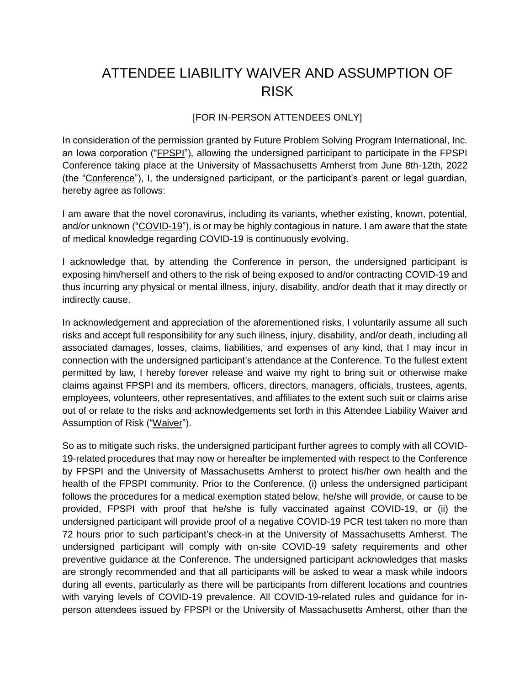## ATTENDEE LIABILITY WAIVER AND ASSUMPTION OF RISK

## [FOR IN-PERSON ATTENDEES ONLY]

In consideration of the permission granted by Future Problem Solving Program International, Inc. an Iowa corporation ("FPSPI"), allowing the undersigned participant to participate in the FPSPI Conference taking place at the University of Massachusetts Amherst from June 8th-12th, 2022 (the "Conference"), I, the undersigned participant, or the participant's parent or legal guardian, hereby agree as follows:

I am aware that the novel coronavirus, including its variants, whether existing, known, potential, and/or unknown ("COVID-19"), is or may be highly contagious in nature. I am aware that the state of medical knowledge regarding COVID-19 is continuously evolving.

I acknowledge that, by attending the Conference in person, the undersigned participant is exposing him/herself and others to the risk of being exposed to and/or contracting COVID-19 and thus incurring any physical or mental illness, injury, disability, and/or death that it may directly or indirectly cause.

In acknowledgement and appreciation of the aforementioned risks, I voluntarily assume all such risks and accept full responsibility for any such illness, injury, disability, and/or death, including all associated damages, losses, claims, liabilities, and expenses of any kind, that I may incur in connection with the undersigned participant's attendance at the Conference. To the fullest extent permitted by law, I hereby forever release and waive my right to bring suit or otherwise make claims against FPSPI and its members, officers, directors, managers, officials, trustees, agents, employees, volunteers, other representatives, and affiliates to the extent such suit or claims arise out of or relate to the risks and acknowledgements set forth in this Attendee Liability Waiver and Assumption of Risk ("Waiver").

So as to mitigate such risks, the undersigned participant further agrees to comply with all COVID-19-related procedures that may now or hereafter be implemented with respect to the Conference by FPSPI and the University of Massachusetts Amherst to protect his/her own health and the health of the FPSPI community. Prior to the Conference, (i) unless the undersigned participant follows the procedures for a medical exemption stated below, he/she will provide, or cause to be provided, FPSPI with proof that he/she is fully vaccinated against COVID-19, or (ii) the undersigned participant will provide proof of a negative COVID-19 PCR test taken no more than 72 hours prior to such participant's check-in at the University of Massachusetts Amherst. The undersigned participant will comply with on-site COVID-19 safety requirements and other preventive guidance at the Conference. The undersigned participant acknowledges that masks are strongly recommended and that all participants will be asked to wear a mask while indoors during all events, particularly as there will be participants from different locations and countries with varying levels of COVID-19 prevalence. All COVID-19-related rules and guidance for inperson attendees issued by FPSPI or the University of Massachusetts Amherst, other than the